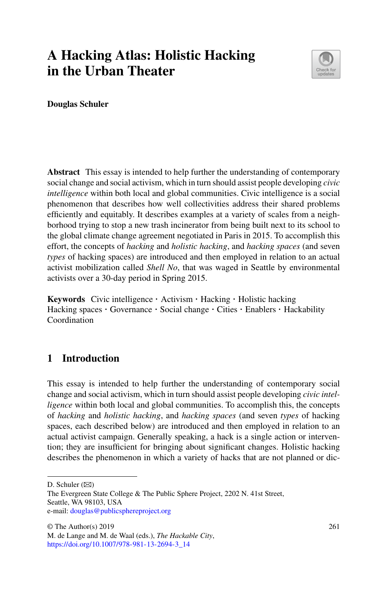# **A Hacking Atlas: Holistic Hacking in the Urban Theater**



**Douglas Schuler**

**Abstract** This essay is intended to help further the understanding of contemporary social change and social activism, which in turn should assist people developing *civic intelligence* within both local and global communities. Civic intelligence is a social phenomenon that describes how well collectivities address their shared problems efficiently and equitably. It describes examples at a variety of scales from a neighborhood trying to stop a new trash incinerator from being built next to its school to the global climate change agreement negotiated in Paris in 2015. To accomplish this effort, the concepts of *hacking* and *holistic hacking*, and *hacking spaces* (and seven *types* of hacking spaces) are introduced and then employed in relation to an actual activist mobilization called *Shell No*, that was waged in Seattle by environmental activists over a 30-day period in Spring 2015.

**Keywords** Civic intelligence · Activism · Hacking · Holistic hacking Hacking spaces · Governance · Social change · Cities · Enablers · Hackability Coordination

# **1 Introduction**

This essay is intended to help further the understanding of contemporary social change and social activism, which in turn should assist people developing *civic intelligence* within both local and global communities. To accomplish this, the concepts of *hacking* and *holistic hacking*, and *hacking spaces* (and seven *types* of hacking spaces, each described below) are introduced and then employed in relation to an actual activist campaign. Generally speaking, a hack is a single action or intervention; they are insufficient for bringing about significant changes. Holistic hacking describes the phenomenon in which a variety of hacks that are not planned or dic-

D. Schuler  $(\boxtimes)$ 

The Evergreen State College & The Public Sphere Project, 2202 N. 41st Street, Seattle, WA 98103, USA e-mail: [douglas@publicsphereproject.org](mailto:douglas@publicsphereproject.org)

<sup>©</sup> The Author(s) 2019 M. de Lange and M. de Waal (eds.), *The Hackable City*, [https://doi.org/10.1007/978-981-13-2694-3\\_14](https://doi.org/10.1007/978-981-13-2694-3_14)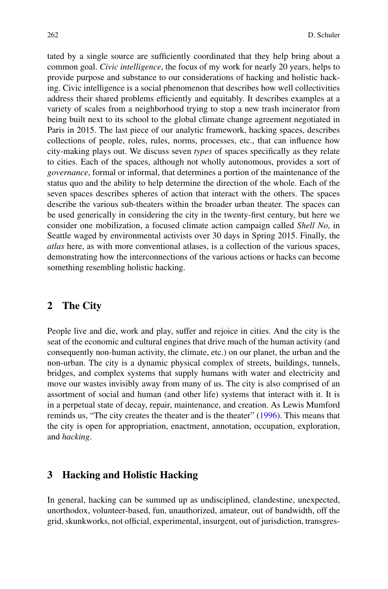tated by a single source are sufficiently coordinated that they help bring about a common goal. *Civic intelligence*, the focus of my work for nearly 20 years, helps to provide purpose and substance to our considerations of hacking and holistic hacking. Civic intelligence is a social phenomenon that describes how well collectivities address their shared problems efficiently and equitably. It describes examples at a variety of scales from a neighborhood trying to stop a new trash incinerator from being built next to its school to the global climate change agreement negotiated in Paris in 2015. The last piece of our analytic framework, hacking spaces, describes collections of people, roles, rules, norms, processes, etc., that can influence how city-making plays out. We discuss seven *types* of spaces specifically as they relate to cities. Each of the spaces, although not wholly autonomous, provides a sort of *governance*, formal or informal, that determines a portion of the maintenance of the status quo and the ability to help determine the direction of the whole. Each of the seven spaces describes spheres of action that interact with the others. The spaces describe the various sub-theaters within the broader urban theater. The spaces can be used generically in considering the city in the twenty-first century, but here we consider one mobilization, a focused climate action campaign called *Shell No*, in Seattle waged by environmental activists over 30 days in Spring 2015. Finally, the *atlas* here, as with more conventional atlases, is a collection of the various spaces, demonstrating how the interconnections of the various actions or hacks can become something resembling holistic hacking.

# **2 The City**

People live and die, work and play, suffer and rejoice in cities. And the city is the seat of the economic and cultural engines that drive much of the human activity (and consequently non-human activity, the climate, etc.) on our planet, the urban and the non-urban. The city is a dynamic physical complex of streets, buildings, tunnels, bridges, and complex systems that supply humans with water and electricity and move our wastes invisibly away from many of us. The city is also comprised of an assortment of social and human (and other life) systems that interact with it. It is in a perpetual state of decay, repair, maintenance, and creation. As Lewis Mumford reminds us, "The city creates the theater and is the theater" [\(1996\)](#page-20-0). This means that the city is open for appropriation, enactment, annotation, occupation, exploration, and *hacking*.

# **3 Hacking and Holistic Hacking**

In general, hacking can be summed up as undisciplined, clandestine, unexpected, unorthodox, volunteer-based, fun, unauthorized, amateur, out of bandwidth, off the grid, skunkworks, not official, experimental, insurgent, out of jurisdiction, transgres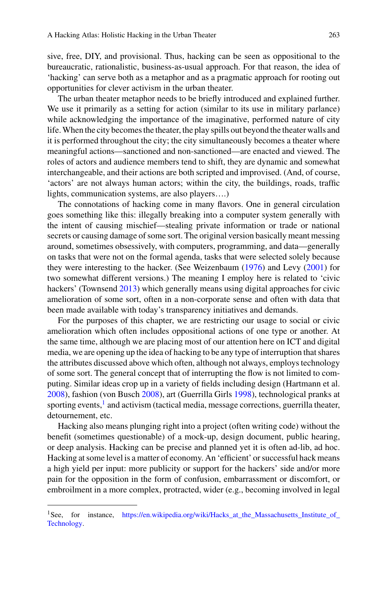sive, free, DIY, and provisional. Thus, hacking can be seen as oppositional to the bureaucratic, rationalistic, business-as-usual approach. For that reason, the idea of 'hacking' can serve both as a metaphor and as a pragmatic approach for rooting out opportunities for clever activism in the urban theater.

The urban theater metaphor needs to be briefly introduced and explained further. We use it primarily as a setting for action (similar to its use in military parlance) while acknowledging the importance of the imaginative, performed nature of city life.When the city becomes the theater, the play spills out beyond the theater walls and it is performed throughout the city; the city simultaneously becomes a theater where meaningful actions—sanctioned and non-sanctioned—are enacted and viewed. The roles of actors and audience members tend to shift, they are dynamic and somewhat interchangeable, and their actions are both scripted and improvised. (And, of course, 'actors' are not always human actors; within the city, the buildings, roads, traffic lights, communication systems, are also players….)

The connotations of hacking come in many flavors. One in general circulation goes something like this: illegally breaking into a computer system generally with the intent of causing mischief—stealing private information or trade or national secrets or causing damage of some sort. The original version basically meant messing around, sometimes obsessively, with computers, programming, and data—generally on tasks that were not on the formal agenda, tasks that were selected solely because they were interesting to the hacker. (See Weizenbaum [\(1976\)](#page-21-0) and Levy [\(2001\)](#page-20-1) for two somewhat different versions.) The meaning I employ here is related to 'civic hackers' (Townsend [2013\)](#page-21-1) which generally means using digital approaches for civic amelioration of some sort, often in a non-corporate sense and often with data that been made available with today's transparency initiatives and demands.

For the purposes of this chapter, we are restricting our usage to social or civic amelioration which often includes oppositional actions of one type or another. At the same time, although we are placing most of our attention here on ICT and digital media, we are opening up the idea of hacking to be any type of interruption that shares the attributes discussed above which often, although not always, employs technology of some sort. The general concept that of interrupting the flow is not limited to computing. Similar ideas crop up in a variety of fields including design (Hartmann et al. [2008\)](#page-20-2), fashion (von Busch [2008\)](#page-21-2), art (Guerrilla Girls [1998\)](#page-20-3), technological pranks at sporting events, $\frac{1}{2}$  and activism (tactical media, message corrections, guerrilla theater, detournement, etc.

Hacking also means plunging right into a project (often writing code) without the benefit (sometimes questionable) of a mock-up, design document, public hearing, or deep analysis. Hacking can be precise and planned yet it is often ad-lib, ad hoc. Hacking at some level is a matter of economy. An 'efficient' or successful hack means a high yield per input: more publicity or support for the hackers' side and/or more pain for the opposition in the form of confusion, embarrassment or discomfort, or embroilment in a more complex, protracted, wider (e.g., becoming involved in legal

<span id="page-2-0"></span><sup>&</sup>lt;sup>1</sup>See, for instance, [https://en.wikipedia.org/wiki/Hacks\\_at\\_the\\_Massachusetts\\_Institute\\_of\\_](https://en.wikipedia.org/wiki/Hacks_at_the_Massachusetts_Institute_of_Technology) Technology.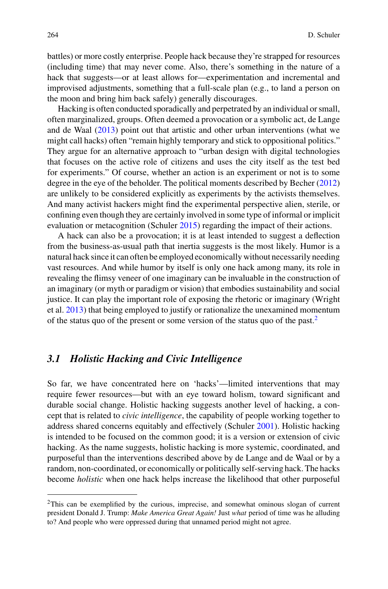battles) or more costly enterprise. People hack because they're strapped for resources (including time) that may never come. Also, there's something in the nature of a hack that suggests—or at least allows for—experimentation and incremental and improvised adjustments, something that a full-scale plan (e.g., to land a person on the moon and bring him back safely) generally discourages.

Hacking is often conducted sporadically and perpetrated by an individual or small, often marginalized, groups. Often deemed a provocation or a symbolic act, de Lange and de Waal [\(2013\)](#page-19-0) point out that artistic and other urban interventions (what we might call hacks) often "remain highly temporary and stick to oppositional politics." They argue for an alternative approach to "urban design with digital technologies that focuses on the active role of citizens and uses the city itself as the test bed for experiments." Of course, whether an action is an experiment or not is to some degree in the eye of the beholder. The political moments described by Becher [\(2012\)](#page-19-1) are unlikely to be considered explicitly as experiments by the activists themselves. And many activist hackers might find the experimental perspective alien, sterile, or confining even though they are certainly involved in some type of informal or implicit evaluation or metacognition (Schuler [2015\)](#page-20-4) regarding the impact of their actions.

A hack can also be a provocation; it is at least intended to suggest a deflection from the business-as-usual path that inertia suggests is the most likely. Humor is a natural hack since it can often be employed economically without necessarily needing vast resources. And while humor by itself is only one hack among many, its role in revealing the flimsy veneer of one imaginary can be invaluable in the construction of an imaginary (or myth or paradigm or vision) that embodies sustainability and social justice. It can play the important role of exposing the rhetoric or imaginary (Wright et al. [2013\)](#page-21-3) that being employed to justify or rationalize the unexamined momentum of the status quo of the present or some version of the status quo of the past.[2](#page-3-0)

# *3.1 Holistic Hacking and Civic Intelligence*

So far, we have concentrated here on 'hacks'—limited interventions that may require fewer resources—but with an eye toward holism, toward significant and durable social change. Holistic hacking suggests another level of hacking, a concept that is related to *civic intelligence*, the capability of people working together to address shared concerns equitably and effectively (Schuler [2001\)](#page-20-5). Holistic hacking is intended to be focused on the common good; it is a version or extension of civic hacking. As the name suggests, holistic hacking is more systemic, coordinated, and purposeful than the interventions described above by de Lange and de Waal or by a random, non-coordinated, or economically or politically self-serving hack. The hacks become *holistic* when one hack helps increase the likelihood that other purposeful

<span id="page-3-0"></span><sup>2</sup>This can be exemplified by the curious, imprecise, and somewhat ominous slogan of current president Donald J. Trump: *Make America Great Again!* Just *what* period of time was he alluding to? And people who were oppressed during that unnamed period might not agree.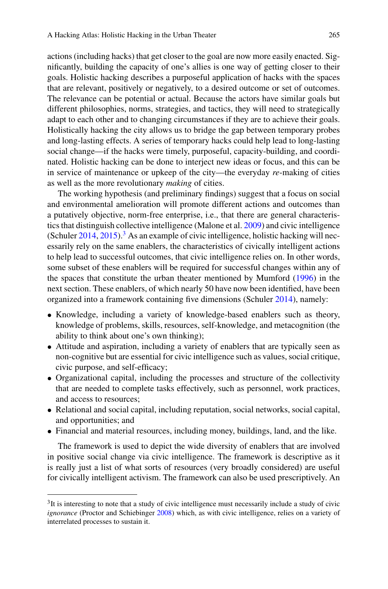actions (including hacks) that get closer to the goal are now more easily enacted. Significantly, building the capacity of one's allies is one way of getting closer to their goals. Holistic hacking describes a purposeful application of hacks with the spaces that are relevant, positively or negatively, to a desired outcome or set of outcomes. The relevance can be potential or actual. Because the actors have similar goals but different philosophies, norms, strategies, and tactics, they will need to strategically adapt to each other and to changing circumstances if they are to achieve their goals. Holistically hacking the city allows us to bridge the gap between temporary probes and long-lasting effects. A series of temporary hacks could help lead to long-lasting social change—if the hacks were timely, purposeful, capacity-building, and coordinated. Holistic hacking can be done to interject new ideas or focus, and this can be in service of maintenance or upkeep of the city—the everyday *re*-making of cities as well as the more revolutionary *making* of cities.

The working hypothesis (and preliminary findings) suggest that a focus on social and environmental amelioration will promote different actions and outcomes than a putatively objective, norm-free enterprise, i.e., that there are general characteristics that distinguish collective intelligence (Malone et al. [2009\)](#page-20-6) and civic intelligence (Schuler  $2014$ ,  $2015$ ).<sup>[3](#page-4-0)</sup> As an example of civic intelligence, holistic hacking will necessarily rely on the same enablers, the characteristics of civically intelligent actions to help lead to successful outcomes, that civic intelligence relies on. In other words, some subset of these enablers will be required for successful changes within any of the spaces that constitute the urban theater mentioned by Mumford [\(1996\)](#page-20-0) in the next section. These enablers, of which nearly 50 have now been identified, have been organized into a framework containing five dimensions (Schuler [2014\)](#page-20-7), namely:

- Knowledge, including a variety of knowledge-based enablers such as theory, knowledge of problems, skills, resources, self-knowledge, and metacognition (the ability to think about one's own thinking);
- Attitude and aspiration, including a variety of enablers that are typically seen as non-cognitive but are essential for civic intelligence such as values, social critique, civic purpose, and self-efficacy;
- Organizational capital, including the processes and structure of the collectivity that are needed to complete tasks effectively, such as personnel, work practices, and access to resources;
- Relational and social capital, including reputation, social networks, social capital, and opportunities; and
- Financial and material resources, including money, buildings, land, and the like.

The framework is used to depict the wide diversity of enablers that are involved in positive social change via civic intelligence. The framework is descriptive as it is really just a list of what sorts of resources (very broadly considered) are useful for civically intelligent activism. The framework can also be used prescriptively. An

<span id="page-4-0"></span><sup>&</sup>lt;sup>3</sup>It is interesting to note that a study of civic intelligence must necessarily include a study of civic *ignorance* (Proctor and Schiebinger [2008\)](#page-20-8) which, as with civic intelligence, relies on a variety of interrelated processes to sustain it.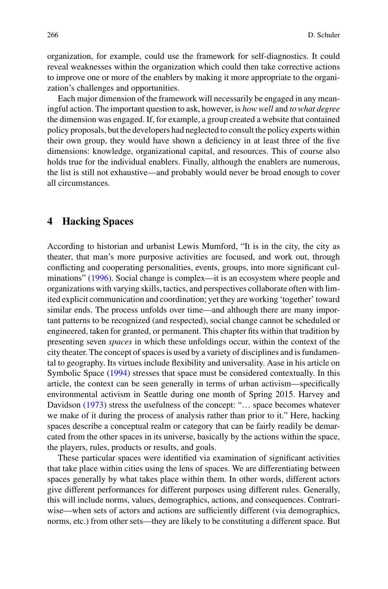organization, for example, could use the framework for self-diagnostics. It could reveal weaknesses within the organization which could then take corrective actions to improve one or more of the enablers by making it more appropriate to the organization's challenges and opportunities.

Each major dimension of the framework will necessarily be engaged in any meaningful action. The important question to ask, however, is *how well* and *to what degree* the dimension was engaged. If, for example, a group created a website that contained policy proposals, but the developers had neglected to consult the policy experts within their own group, they would have shown a deficiency in at least three of the five dimensions: knowledge, organizational capital, and resources. This of course also holds true for the individual enablers. Finally, although the enablers are numerous, the list is still not exhaustive—and probably would never be broad enough to cover all circumstances.

# **4 Hacking Spaces**

According to historian and urbanist Lewis Mumford, "It is in the city, the city as theater, that man's more purposive activities are focused, and work out, through conflicting and cooperating personalities, events, groups, into more significant culminations" [\(1996\)](#page-20-0). Social change is complex—it is an ecosystem where people and organizations with varying skills, tactics, and perspectives collaborate often with limited explicit communication and coordination; yet they are working 'together' toward similar ends. The process unfolds over time—and although there are many important patterns to be recognized (and respected), social change cannot be scheduled or engineered, taken for granted, or permanent. This chapter fits within that tradition by presenting seven *spaces* in which these unfoldings occur, within the context of the city theater. The concept of spaces is used by a variety of disciplines and is fundamental to geography. Its virtues include flexibility and universality. Aase in his article on Symbolic Space [\(1994\)](#page-19-2) stresses that space must be considered contextually. In this article, the context can be seen generally in terms of urban activism—specifically environmental activism in Seattle during one month of Spring 2015. Harvey and Davidson [\(1973\)](#page-20-9) stress the usefulness of the concept: "… space becomes whatever we make of it during the process of analysis rather than prior to it." Here, hacking spaces describe a conceptual realm or category that can be fairly readily be demarcated from the other spaces in its universe, basically by the actions within the space, the players, rules, products or results, and goals.

These particular spaces were identified via examination of significant activities that take place within cities using the lens of spaces. We are differentiating between spaces generally by what takes place within them. In other words, different actors give different performances for different purposes using different rules. Generally, this will include norms, values, demographics, actions, and consequences. Contrariwise—when sets of actors and actions are sufficiently different (via demographics, norms, etc.) from other sets—they are likely to be constituting a different space. But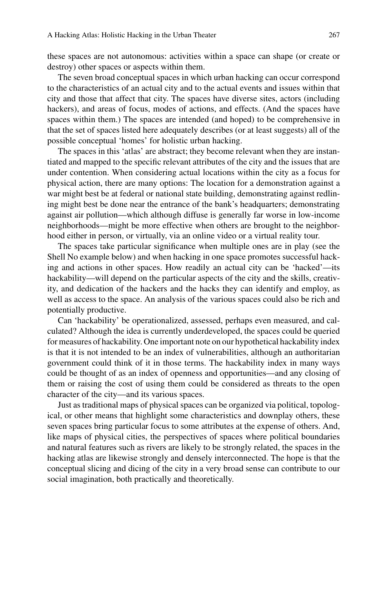these spaces are not autonomous: activities within a space can shape (or create or destroy) other spaces or aspects within them.

The seven broad conceptual spaces in which urban hacking can occur correspond to the characteristics of an actual city and to the actual events and issues within that city and those that affect that city. The spaces have diverse sites, actors (including hackers), and areas of focus, modes of actions, and effects. (And the spaces have spaces within them.) The spaces are intended (and hoped) to be comprehensive in that the set of spaces listed here adequately describes (or at least suggests) all of the possible conceptual 'homes' for holistic urban hacking.

The spaces in this 'atlas' are abstract; they become relevant when they are instantiated and mapped to the specific relevant attributes of the city and the issues that are under contention. When considering actual locations within the city as a focus for physical action, there are many options: The location for a demonstration against a war might best be at federal or national state building, demonstrating against redlining might best be done near the entrance of the bank's headquarters; demonstrating against air pollution—which although diffuse is generally far worse in low-income neighborhoods—might be more effective when others are brought to the neighborhood either in person, or virtually, via an online video or a virtual reality tour.

The spaces take particular significance when multiple ones are in play (see the Shell No example below) and when hacking in one space promotes successful hacking and actions in other spaces. How readily an actual city can be 'hacked'—its hackability—will depend on the particular aspects of the city and the skills, creativity, and dedication of the hackers and the hacks they can identify and employ, as well as access to the space. An analysis of the various spaces could also be rich and potentially productive.

Can 'hackability' be operationalized, assessed, perhaps even measured, and calculated? Although the idea is currently underdeveloped, the spaces could be queried for measures of hackability. One important note on our hypothetical hackability index is that it is not intended to be an index of vulnerabilities, although an authoritarian government could think of it in those terms. The hackability index in many ways could be thought of as an index of openness and opportunities—and any closing of them or raising the cost of using them could be considered as threats to the open character of the city—and its various spaces.

Just as traditional maps of physical spaces can be organized via political, topological, or other means that highlight some characteristics and downplay others, these seven spaces bring particular focus to some attributes at the expense of others. And, like maps of physical cities, the perspectives of spaces where political boundaries and natural features such as rivers are likely to be strongly related, the spaces in the hacking atlas are likewise strongly and densely interconnected. The hope is that the conceptual slicing and dicing of the city in a very broad sense can contribute to our social imagination, both practically and theoretically.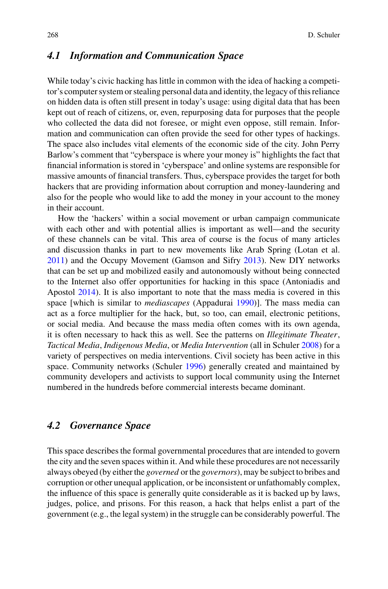# *4.1 Information and Communication Space*

While today's civic hacking has little in common with the idea of hacking a competitor's computer system or stealing personal data and identity, the legacy of this reliance on hidden data is often still present in today's usage: using digital data that has been kept out of reach of citizens, or, even, repurposing data for purposes that the people who collected the data did not foresee, or might even oppose, still remain. Information and communication can often provide the seed for other types of hackings. The space also includes vital elements of the economic side of the city. John Perry Barlow's comment that "cyberspace is where your money is" highlights the fact that financial information is stored in 'cyberspace' and online systems are responsible for massive amounts of financial transfers. Thus, cyberspace provides the target for both hackers that are providing information about corruption and money-laundering and also for the people who would like to add the money in your account to the money in their account.

How the 'hackers' within a social movement or urban campaign communicate with each other and with potential allies is important as well—and the security of these channels can be vital. This area of course is the focus of many articles and discussion thanks in part to new movements like Arab Spring (Lotan et al. [2011\)](#page-20-10) and the Occupy Movement (Gamson and Sifry [2013\)](#page-20-11). New DIY networks that can be set up and mobilized easily and autonomously without being connected to the Internet also offer opportunities for hacking in this space (Antoniadis and Apostol [2014\)](#page-19-3). It is also important to note that the mass media is covered in this space [which is similar to *mediascapes* (Appadurai [1990\)](#page-19-4)]. The mass media can act as a force multiplier for the hack, but, so too, can email, electronic petitions, or social media. And because the mass media often comes with its own agenda, it is often necessary to hack this as well. See the patterns on *Illegitimate Theater*, *Tactical Media*, *Indigenous Media*, or *Media Intervention* (all in Schuler [2008\)](#page-20-12) for a variety of perspectives on media interventions. Civil society has been active in this space. Community networks (Schuler [1996\)](#page-20-13) generally created and maintained by community developers and activists to support local community using the Internet numbered in the hundreds before commercial interests became dominant.

## *4.2 Governance Space*

This space describes the formal governmental procedures that are intended to govern the city and the seven spaces within it. And while these procedures are not necessarily always obeyed (by either the *governed* or the *governors*), may be subject to bribes and corruption or other unequal application, or be inconsistent or unfathomably complex, the influence of this space is generally quite considerable as it is backed up by laws, judges, police, and prisons. For this reason, a hack that helps enlist a part of the government (e.g., the legal system) in the struggle can be considerably powerful. The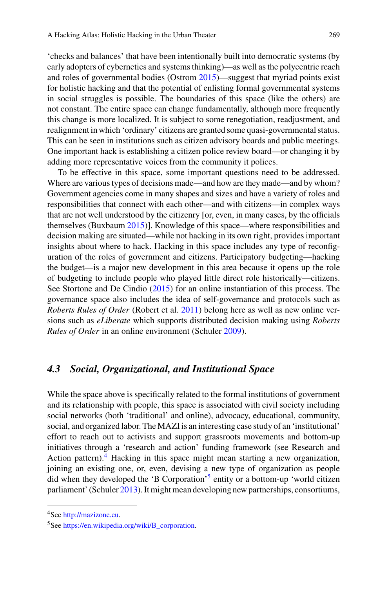'checks and balances' that have been intentionally built into democratic systems (by early adopters of cybernetics and systems thinking)—as well as the polycentric reach and roles of governmental bodies (Ostrom [2015\)](#page-20-14)—suggest that myriad points exist for holistic hacking and that the potential of enlisting formal governmental systems in social struggles is possible. The boundaries of this space (like the others) are not constant. The entire space can change fundamentally, although more frequently this change is more localized. It is subject to some renegotiation, readjustment, and realignment in which 'ordinary' citizens are granted some quasi-governmental status. This can be seen in institutions such as citizen advisory boards and public meetings. One important hack is establishing a citizen police review board—or changing it by adding more representative voices from the community it polices.

To be effective in this space, some important questions need to be addressed. Where are various types of decisions made—and how are they made—and by whom? Government agencies come in many shapes and sizes and have a variety of roles and responsibilities that connect with each other—and with citizens—in complex ways that are not well understood by the citizenry [or, even, in many cases, by the officials themselves (Buxbaum [2015\)](#page-19-5)]. Knowledge of this space—where responsibilities and decision making are situated—while not hacking in its own right, provides important insights about where to hack. Hacking in this space includes any type of reconfiguration of the roles of government and citizens. Participatory budgeting—hacking the budget—is a major new development in this area because it opens up the role of budgeting to include people who played little direct role historically—citizens. See Stortone and De Cindio [\(2015\)](#page-21-4) for an online instantiation of this process. The governance space also includes the idea of self-governance and protocols such as *Roberts Rules of Order* (Robert et al. [2011\)](#page-20-15) belong here as well as new online versions such as *eLiberate* which supports distributed decision making using *Roberts Rules of Order* in an online environment (Schuler [2009\)](#page-20-16).

# *4.3 Social, Organizational, and Institutional Space*

While the space above is specifically related to the formal institutions of government and its relationship with people, this space is associated with civil society including social networks (both 'traditional' and online), advocacy, educational, community, social, and organized labor. The MAZI is an interesting case study of an 'institutional' effort to reach out to activists and support grassroots movements and bottom-up initiatives through a 'research and action' funding framework (see Research and Action pattern).<sup>[4](#page-8-0)</sup> Hacking in this space might mean starting a new organization, joining an existing one, or, even, devising a new type of organization as people did when they developed the 'B Corporation'<sup>[5](#page-8-1)</sup> entity or a bottom-up 'world citizen parliament' (Schuler [2013\)](#page-20-17). It might mean developing new partnerships, consortiums,

<span id="page-8-0"></span><sup>4</sup>See [http://mazizone.eu.](http://mazizone.eu)

<span id="page-8-1"></span><sup>5</sup>See [https://en.wikipedia.org/wiki/B\\_corporation.](https://en.wikipedia.org/wiki/B_corporation)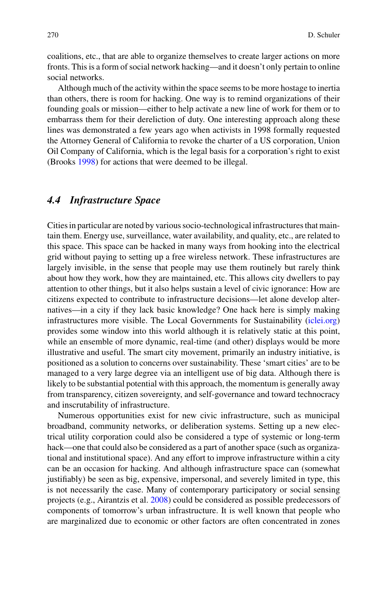coalitions, etc., that are able to organize themselves to create larger actions on more fronts. This is a form of social network hacking—and it doesn't only pertain to online social networks.

Although much of the activity within the space seems to be more hostage to inertia than others, there is room for hacking. One way is to remind organizations of their founding goals or mission—either to help activate a new line of work for them or to embarrass them for their dereliction of duty. One interesting approach along these lines was demonstrated a few years ago when activists in 1998 formally requested the Attorney General of California to revoke the charter of a US corporation, Union Oil Company of California, which is the legal basis for a corporation's right to exist (Brooks [1998\)](#page-19-6) for actions that were deemed to be illegal.

# *4.4 Infrastructure Space*

Cities in particular are noted by various socio-technological infrastructures that maintain them. Energy use, surveillance, water availability, and quality, etc., are related to this space. This space can be hacked in many ways from hooking into the electrical grid without paying to setting up a free wireless network. These infrastructures are largely invisible, in the sense that people may use them routinely but rarely think about how they work, how they are maintained, etc. This allows city dwellers to pay attention to other things, but it also helps sustain a level of civic ignorance: How are citizens expected to contribute to infrastructure decisions—let alone develop alternatives—in a city if they lack basic knowledge? One hack here is simply making infrastructures more visible. The Local Governments for Sustainability [\(iclei.org\)](http://iclei.org) provides some window into this world although it is relatively static at this point, while an ensemble of more dynamic, real-time (and other) displays would be more illustrative and useful. The smart city movement, primarily an industry initiative, is positioned as a solution to concerns over sustainability. These 'smart cities' are to be managed to a very large degree via an intelligent use of big data. Although there is likely to be substantial potential with this approach, the momentum is generally away from transparency, citizen sovereignty, and self-governance and toward technocracy and inscrutability of infrastructure.

Numerous opportunities exist for new civic infrastructure, such as municipal broadband, community networks, or deliberation systems. Setting up a new electrical utility corporation could also be considered a type of systemic or long-term hack—one that could also be considered as a part of another space (such as organizational and institutional space). And any effort to improve infrastructure within a city can be an occasion for hacking. And although infrastructure space can (somewhat justifiably) be seen as big, expensive, impersonal, and severely limited in type, this is not necessarily the case. Many of contemporary participatory or social sensing projects (e.g., Airantzis et al. [2008\)](#page-19-7) could be considered as possible predecessors of components of tomorrow's urban infrastructure. It is well known that people who are marginalized due to economic or other factors are often concentrated in zones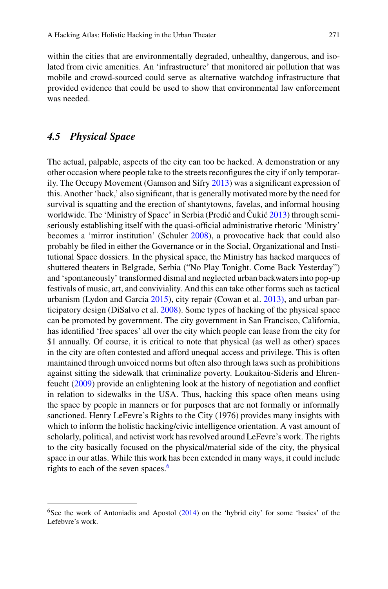within the cities that are environmentally degraded, unhealthy, dangerous, and isolated from civic amenities. An 'infrastructure' that monitored air pollution that was mobile and crowd-sourced could serve as alternative watchdog infrastructure that provided evidence that could be used to show that environmental law enforcement was needed.

# *4.5 Physical Space*

The actual, palpable, aspects of the city can too be hacked. A demonstration or any other occasion where people take to the streets reconfigures the city if only temporarily. The Occupy Movement (Gamson and Sifry [2013\)](#page-20-11) was a significant expression of this. Another 'hack,' also significant, that is generally motivated more by the need for survival is squatting and the erection of shantytowns, favelas, and informal housing worldwide. The 'Ministry of Space' in Serbia (Predić and Čukić  $2013$ ) through semiseriously establishing itself with the quasi-official administrative rhetoric 'Ministry' becomes a 'mirror institution' (Schuler [2008\)](#page-20-12), a provocative hack that could also probably be filed in either the Governance or in the Social, Organizational and Institutional Space dossiers. In the physical space, the Ministry has hacked marquees of shuttered theaters in Belgrade, Serbia ("No Play Tonight. Come Back Yesterday") and 'spontaneously' transformed dismal and neglected urban backwaters into pop-up festivals of music, art, and conviviality. And this can take other forms such as tactical urbanism (Lydon and Garcia [2015\)](#page-20-19), city repair (Cowan et al. [2013\),](#page-19-8) and urban participatory design (DiSalvo et al. [2008\)](#page-19-9). Some types of hacking of the physical space can be promoted by government. The city government in San Francisco, California, has identified 'free spaces' all over the city which people can lease from the city for \$1 annually. Of course, it is critical to note that physical (as well as other) spaces in the city are often contested and afford unequal access and privilege. This is often maintained through unvoiced norms but often also through laws such as prohibitions against sitting the sidewalk that criminalize poverty. Loukaitou-Sideris and Ehrenfeucht [\(2009\)](#page-20-20) provide an enlightening look at the history of negotiation and conflict in relation to sidewalks in the USA. Thus, hacking this space often means using the space by people in manners or for purposes that are not formally or informally sanctioned. Henry LeFevre's Rights to the City (1976) provides many insights with which to inform the holistic hacking/civic intelligence orientation. A vast amount of scholarly, political, and activist work has revolved around LeFevre's work. The rights to the city basically focused on the physical/material side of the city, the physical space in our atlas. While this work has been extended in many ways, it could include rights to each of the seven spaces. $6$ 

<span id="page-10-0"></span><sup>&</sup>lt;sup>6</sup>See the work of Antoniadis and Apostol  $(2014)$  on the 'hybrid city' for some 'basics' of the Lefebvre's work.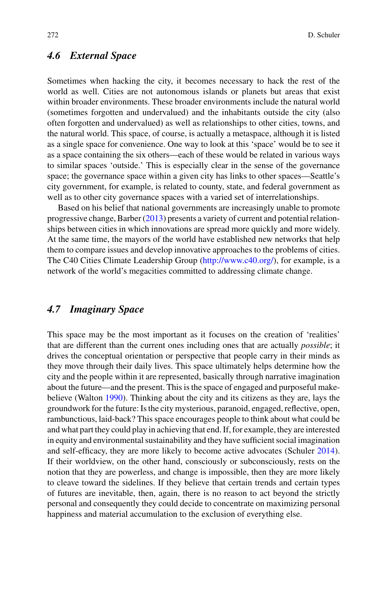# *4.6 External Space*

Sometimes when hacking the city, it becomes necessary to hack the rest of the world as well. Cities are not autonomous islands or planets but areas that exist within broader environments. These broader environments include the natural world (sometimes forgotten and undervalued) and the inhabitants outside the city (also often forgotten and undervalued) as well as relationships to other cities, towns, and the natural world. This space, of course, is actually a metaspace, although it is listed as a single space for convenience. One way to look at this 'space' would be to see it as a space containing the six others—each of these would be related in various ways to similar spaces 'outside.' This is especially clear in the sense of the governance space; the governance space within a given city has links to other spaces—Seattle's city government, for example, is related to county, state, and federal government as well as to other city governance spaces with a varied set of interrelationships.

Based on his belief that national governments are increasingly unable to promote progressive change, Barber [\(2013\)](#page-19-10) presents a variety of current and potential relationships between cities in which innovations are spread more quickly and more widely. At the same time, the mayors of the world have established new networks that help them to compare issues and develop innovative approaches to the problems of cities. The C40 Cities Climate Leadership Group [\(http://www.c40.org/\)](http://www.c40.org/), for example, is a network of the world's megacities committed to addressing climate change.

# *4.7 Imaginary Space*

This space may be the most important as it focuses on the creation of 'realities' that are different than the current ones including ones that are actually *possible*; it drives the conceptual orientation or perspective that people carry in their minds as they move through their daily lives. This space ultimately helps determine how the city and the people within it are represented, basically through narrative imagination about the future—and the present. This is the space of engaged and purposeful makebelieve (Walton [1990\)](#page-21-5). Thinking about the city and its citizens as they are, lays the groundwork for the future: Is the city mysterious, paranoid, engaged, reflective, open, rambunctious, laid-back? This space encourages people to think about what could be and what part they could play in achieving that end. If, for example, they are interested in equity and environmental sustainability and they have sufficient social imagination and self-efficacy, they are more likely to become active advocates (Schuler [2014\)](#page-20-7). If their worldview, on the other hand, consciously or subconsciously, rests on the notion that they are powerless, and change is impossible, then they are more likely to cleave toward the sidelines. If they believe that certain trends and certain types of futures are inevitable, then, again, there is no reason to act beyond the strictly personal and consequently they could decide to concentrate on maximizing personal happiness and material accumulation to the exclusion of everything else.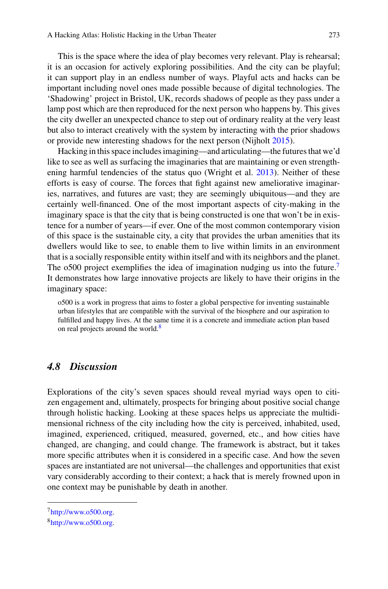This is the space where the idea of play becomes very relevant. Play is rehearsal; it is an occasion for actively exploring possibilities. And the city can be playful; it can support play in an endless number of ways. Playful acts and hacks can be important including novel ones made possible because of digital technologies. The 'Shadowing' project in Bristol, UK, records shadows of people as they pass under a lamp post which are then reproduced for the next person who happens by. This gives the city dweller an unexpected chance to step out of ordinary reality at the very least but also to interact creatively with the system by interacting with the prior shadows or provide new interesting shadows for the next person (Nijholt [2015\)](#page-20-21).

Hacking in this space includes imagining—and articulating—the futures that we'd like to see as well as surfacing the imaginaries that are maintaining or even strengthening harmful tendencies of the status quo (Wright et al. [2013\)](#page-21-3). Neither of these efforts is easy of course. The forces that fight against new ameliorative imaginaries, narratives, and futures are vast; they are seemingly ubiquitous—and they are certainly well-financed. One of the most important aspects of city-making in the imaginary space is that the city that is being constructed is one that won't be in existence for a number of years—if ever. One of the most common contemporary vision of this space is the sustainable city, a city that provides the urban amenities that its dwellers would like to see, to enable them to live within limits in an environment that is a socially responsible entity within itself and with its neighbors and the planet. The o500 project exemplifies the idea of imagination nudging us into the future.<sup>7</sup> It demonstrates how large innovative projects are likely to have their origins in the imaginary space:

o500 is a work in progress that aims to foster a global perspective for inventing sustainable urban lifestyles that are compatible with the survival of the biosphere and our aspiration to fulfilled and happy lives. At the same time it is a concrete and immediate action plan based on real projects around the world.<sup>[8](#page-12-1)</sup>

# *4.8 Discussion*

Explorations of the city's seven spaces should reveal myriad ways open to citizen engagement and, ultimately, prospects for bringing about positive social change through holistic hacking. Looking at these spaces helps us appreciate the multidimensional richness of the city including how the city is perceived, inhabited, used, imagined, experienced, critiqued, measured, governed, etc., and how cities have changed, are changing, and could change. The framework is abstract, but it takes more specific attributes when it is considered in a specific case. And how the seven spaces are instantiated are not universal—the challenges and opportunities that exist vary considerably according to their context; a hack that is merely frowned upon in one context may be punishable by death in another.

<span id="page-12-0"></span>[<sup>7</sup>http://www.o500.org.](http://www.o500.org)

<span id="page-12-1"></span> $8$ http://www.o500.org.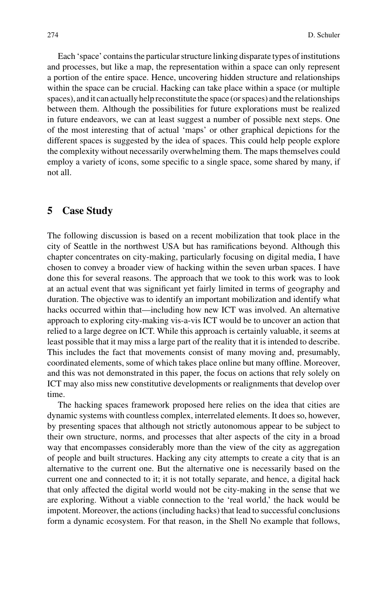Each 'space' contains the particular structure linking disparate types of institutions and processes, but like a map, the representation within a space can only represent a portion of the entire space. Hence, uncovering hidden structure and relationships within the space can be crucial. Hacking can take place within a space (or multiple spaces), and it can actually help reconstitute the space (or spaces) and the relationships between them. Although the possibilities for future explorations must be realized in future endeavors, we can at least suggest a number of possible next steps. One of the most interesting that of actual 'maps' or other graphical depictions for the different spaces is suggested by the idea of spaces. This could help people explore the complexity without necessarily overwhelming them. The maps themselves could employ a variety of icons, some specific to a single space, some shared by many, if not all.

### **5 Case Study**

The following discussion is based on a recent mobilization that took place in the city of Seattle in the northwest USA but has ramifications beyond. Although this chapter concentrates on city-making, particularly focusing on digital media, I have chosen to convey a broader view of hacking within the seven urban spaces. I have done this for several reasons. The approach that we took to this work was to look at an actual event that was significant yet fairly limited in terms of geography and duration. The objective was to identify an important mobilization and identify what hacks occurred within that—including how new ICT was involved. An alternative approach to exploring city-making vis-a-vis ICT would be to uncover an action that relied to a large degree on ICT. While this approach is certainly valuable, it seems at least possible that it may miss a large part of the reality that it is intended to describe. This includes the fact that movements consist of many moving and, presumably, coordinated elements, some of which takes place online but many offline. Moreover, and this was not demonstrated in this paper, the focus on actions that rely solely on ICT may also miss new constitutive developments or realignments that develop over time.

The hacking spaces framework proposed here relies on the idea that cities are dynamic systems with countless complex, interrelated elements. It does so, however, by presenting spaces that although not strictly autonomous appear to be subject to their own structure, norms, and processes that alter aspects of the city in a broad way that encompasses considerably more than the view of the city as aggregation of people and built structures. Hacking any city attempts to create a city that is an alternative to the current one. But the alternative one is necessarily based on the current one and connected to it; it is not totally separate, and hence, a digital hack that only affected the digital world would not be city-making in the sense that we are exploring. Without a viable connection to the 'real world,' the hack would be impotent. Moreover, the actions (including hacks) that lead to successful conclusions form a dynamic ecosystem. For that reason, in the Shell No example that follows,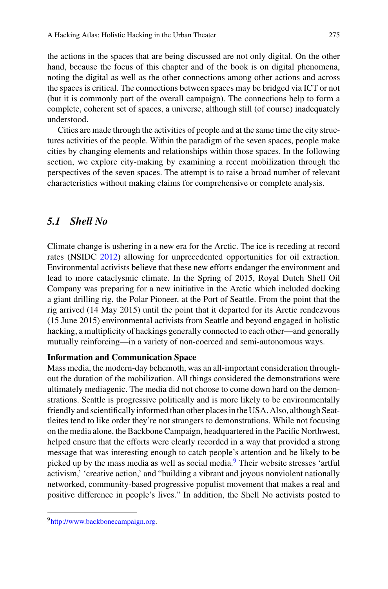the actions in the spaces that are being discussed are not only digital. On the other hand, because the focus of this chapter and of the book is on digital phenomena, noting the digital as well as the other connections among other actions and across the spaces is critical. The connections between spaces may be bridged via ICT or not (but it is commonly part of the overall campaign). The connections help to form a complete, coherent set of spaces, a universe, although still (of course) inadequately understood.

Cities are made through the activities of people and at the same time the city structures activities of the people. Within the paradigm of the seven spaces, people make cities by changing elements and relationships within those spaces. In the following section, we explore city-making by examining a recent mobilization through the perspectives of the seven spaces. The attempt is to raise a broad number of relevant characteristics without making claims for comprehensive or complete analysis.

# *5.1 Shell No*

Climate change is ushering in a new era for the Arctic. The ice is receding at record rates (NSIDC [2012\)](#page-20-22) allowing for unprecedented opportunities for oil extraction. Environmental activists believe that these new efforts endanger the environment and lead to more cataclysmic climate. In the Spring of 2015, Royal Dutch Shell Oil Company was preparing for a new initiative in the Arctic which included docking a giant drilling rig, the Polar Pioneer, at the Port of Seattle. From the point that the rig arrived (14 May 2015) until the point that it departed for its Arctic rendezvous (15 June 2015) environmental activists from Seattle and beyond engaged in holistic hacking, a multiplicity of hackings generally connected to each other—and generally mutually reinforcing—in a variety of non-coerced and semi-autonomous ways.

### **Information and Communication Space**

Mass media, the modern-day behemoth, was an all-important consideration throughout the duration of the mobilization. All things considered the demonstrations were ultimately mediagenic. The media did not choose to come down hard on the demonstrations. Seattle is progressive politically and is more likely to be environmentally friendly and scientifically informed than other places in the USA. Also, although Seattleites tend to like order they're not strangers to demonstrations. While not focusing on the media alone, the Backbone Campaign, headquartered in the Pacific Northwest, helped ensure that the efforts were clearly recorded in a way that provided a strong message that was interesting enough to catch people's attention and be likely to be picked up by the mass media as well as social media[.9](#page-14-0) Their website stresses 'artful activism,' 'creative action,' and "building a vibrant and joyous nonviolent nationally networked, community-based progressive populist movement that makes a real and positive difference in people's lives." In addition, the Shell No activists posted to

<span id="page-14-0"></span>[<sup>9</sup>http://www.backbonecampaign.org.](http://www.backbonecampaign.org)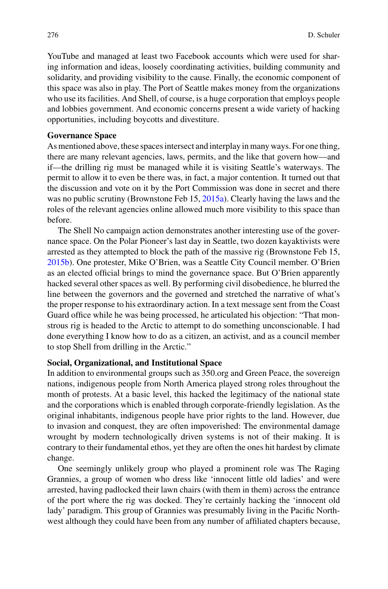YouTube and managed at least two Facebook accounts which were used for sharing information and ideas, loosely coordinating activities, building community and solidarity, and providing visibility to the cause. Finally, the economic component of this space was also in play. The Port of Seattle makes money from the organizations who use its facilities. And Shell, of course, is a huge corporation that employs people and lobbies government. And economic concerns present a wide variety of hacking opportunities, including boycotts and divestiture.

### **Governance Space**

As mentioned above, these spaces intersect and interplay in many ways. For one thing, there are many relevant agencies, laws, permits, and the like that govern how—and if—the drilling rig must be managed while it is visiting Seattle's waterways. The permit to allow it to even be there was, in fact, a major contention. It turned out that the discussion and vote on it by the Port Commission was done in secret and there was no public scrutiny (Brownstone Feb 15, [2015a\)](#page-19-11). Clearly having the laws and the roles of the relevant agencies online allowed much more visibility to this space than before.

The Shell No campaign action demonstrates another interesting use of the governance space. On the Polar Pioneer's last day in Seattle, two dozen kayaktivists were arrested as they attempted to block the path of the massive rig (Brownstone Feb 15, [2015b\)](#page-19-12). One protester, Mike O'Brien, was a Seattle City Council member. O'Brien as an elected official brings to mind the governance space. But O'Brien apparently hacked several other spaces as well. By performing civil disobedience, he blurred the line between the governors and the governed and stretched the narrative of what's the proper response to his extraordinary action. In a text message sent from the Coast Guard office while he was being processed, he articulated his objection: "That monstrous rig is headed to the Arctic to attempt to do something unconscionable. I had done everything I know how to do as a citizen, an activist, and as a council member to stop Shell from drilling in the Arctic."

#### **Social, Organizational, and Institutional Space**

In addition to environmental groups such as 350.org and Green Peace, the sovereign nations, indigenous people from North America played strong roles throughout the month of protests. At a basic level, this hacked the legitimacy of the national state and the corporations which is enabled through corporate-friendly legislation. As the original inhabitants, indigenous people have prior rights to the land. However, due to invasion and conquest, they are often impoverished: The environmental damage wrought by modern technologically driven systems is not of their making. It is contrary to their fundamental ethos, yet they are often the ones hit hardest by climate change.

One seemingly unlikely group who played a prominent role was The Raging Grannies, a group of women who dress like 'innocent little old ladies' and were arrested, having padlocked their lawn chairs (with them in them) across the entrance of the port where the rig was docked. They're certainly hacking the 'innocent old lady' paradigm. This group of Grannies was presumably living in the Pacific Northwest although they could have been from any number of affiliated chapters because,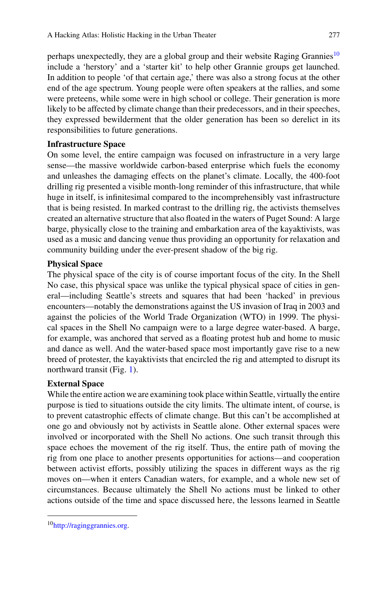perhaps unexpectedly, they are a global group and their website Raging Grannies<sup>10</sup> include a 'herstory' and a 'starter kit' to help other Grannie groups get launched. In addition to people 'of that certain age,' there was also a strong focus at the other end of the age spectrum. Young people were often speakers at the rallies, and some were preteens, while some were in high school or college. Their generation is more likely to be affected by climate change than their predecessors, and in their speeches, they expressed bewilderment that the older generation has been so derelict in its responsibilities to future generations.

### **Infrastructure Space**

On some level, the entire campaign was focused on infrastructure in a very large sense—the massive worldwide carbon-based enterprise which fuels the economy and unleashes the damaging effects on the planet's climate. Locally, the 400-foot drilling rig presented a visible month-long reminder of this infrastructure, that while huge in itself, is infinitesimal compared to the incomprehensibly vast infrastructure that is being resisted. In marked contrast to the drilling rig, the activists themselves created an alternative structure that also floated in the waters of Puget Sound: A large barge, physically close to the training and embarkation area of the kayaktivists, was used as a music and dancing venue thus providing an opportunity for relaxation and community building under the ever-present shadow of the big rig.

### **Physical Space**

The physical space of the city is of course important focus of the city. In the Shell No case, this physical space was unlike the typical physical space of cities in general—including Seattle's streets and squares that had been 'hacked' in previous encounters—notably the demonstrations against the US invasion of Iraq in 2003 and against the policies of the World Trade Organization (WTO) in 1999. The physical spaces in the Shell No campaign were to a large degree water-based. A barge, for example, was anchored that served as a floating protest hub and home to music and dance as well. And the water-based space most importantly gave rise to a new breed of protester, the kayaktivists that encircled the rig and attempted to disrupt its northward transit (Fig. [1\)](#page-17-0).

#### **External Space**

While the entire action we are examining took place within Seattle, virtually the entire purpose is tied to situations outside the city limits. The ultimate intent, of course, is to prevent catastrophic effects of climate change. But this can't be accomplished at one go and obviously not by activists in Seattle alone. Other external spaces were involved or incorporated with the Shell No actions. One such transit through this space echoes the movement of the rig itself. Thus, the entire path of moving the rig from one place to another presents opportunities for actions—and cooperation between activist efforts, possibly utilizing the spaces in different ways as the rig moves on—when it enters Canadian waters, for example, and a whole new set of circumstances. Because ultimately the Shell No actions must be linked to other actions outside of the time and space discussed here, the lessons learned in Seattle

<span id="page-16-0"></span><sup>1</sup>[0http://raginggrannies.org.](http://raginggrannies.org)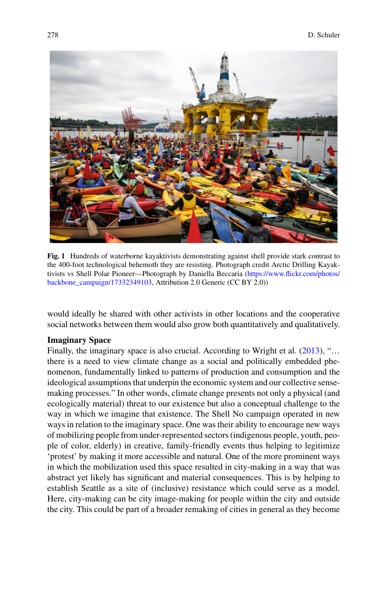

**Fig. 1** Hundreds of waterborne kayaktivists demonstrating against shell provide stark contrast to the 400-foot technological behemoth they are resisting. Photograph credit Arctic Drilling Kayak[tivists vs Shell Polar Pioneer—Photograph by Daniella Beccaria \(https://www.flickr.com/photos/](https://www.flickr.com/photos/backbone_campaign/17332349103) backbone\_campaign/17332349103, Attribution 2.0 Generic (CC BY 2.0))

<span id="page-17-0"></span>would ideally be shared with other activists in other locations and the cooperative social networks between them would also grow both quantitatively and qualitatively.

### **Imaginary Space**

Finally, the imaginary space is also crucial. According to Wright et al. [\(2013\)](#page-21-3), "... there is a need to view climate change as a social and politically embedded phenomenon, fundamentally linked to patterns of production and consumption and the ideological assumptions that underpin the economic system and our collective sensemaking processes." In other words, climate change presents not only a physical (and ecologically material) threat to our existence but also a conceptual challenge to the way in which we imagine that existence. The Shell No campaign operated in new ways in relation to the imaginary space. One was their ability to encourage new ways of mobilizing people from under-represented sectors (indigenous people, youth, people of color, elderly) in creative, family-friendly events thus helping to legitimize 'protest' by making it more accessible and natural. One of the more prominent ways in which the mobilization used this space resulted in city-making in a way that was abstract yet likely has significant and material consequences. This is by helping to establish Seattle as a site of (inclusive) resistance which could serve as a model. Here, city-making can be city image-making for people within the city and outside the city. This could be part of a broader remaking of cities in general as they become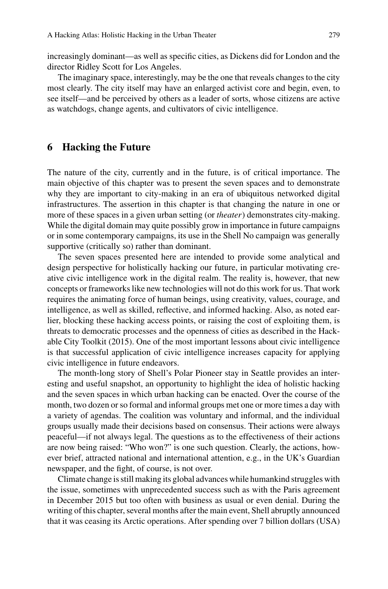increasingly dominant—as well as specific cities, as Dickens did for London and the director Ridley Scott for Los Angeles.

The imaginary space, interestingly, may be the one that reveals changes to the city most clearly. The city itself may have an enlarged activist core and begin, even, to see itself—and be perceived by others as a leader of sorts, whose citizens are active as watchdogs, change agents, and cultivators of civic intelligence.

## **6 Hacking the Future**

The nature of the city, currently and in the future, is of critical importance. The main objective of this chapter was to present the seven spaces and to demonstrate why they are important to city-making in an era of ubiquitous networked digital infrastructures. The assertion in this chapter is that changing the nature in one or more of these spaces in a given urban setting (or *theater*) demonstrates city-making. While the digital domain may quite possibly grow in importance in future campaigns or in some contemporary campaigns, its use in the Shell No campaign was generally supportive (critically so) rather than dominant.

The seven spaces presented here are intended to provide some analytical and design perspective for holistically hacking our future, in particular motivating creative civic intelligence work in the digital realm. The reality is, however, that new concepts or frameworks like new technologies will not do this work for us. That work requires the animating force of human beings, using creativity, values, courage, and intelligence, as well as skilled, reflective, and informed hacking. Also, as noted earlier, blocking these hacking access points, or raising the cost of exploiting them, is threats to democratic processes and the openness of cities as described in the Hackable City Toolkit (2015). One of the most important lessons about civic intelligence is that successful application of civic intelligence increases capacity for applying civic intelligence in future endeavors.

The month-long story of Shell's Polar Pioneer stay in Seattle provides an interesting and useful snapshot, an opportunity to highlight the idea of holistic hacking and the seven spaces in which urban hacking can be enacted. Over the course of the month, two dozen or so formal and informal groups met one or more times a day with a variety of agendas. The coalition was voluntary and informal, and the individual groups usually made their decisions based on consensus. Their actions were always peaceful—if not always legal. The questions as to the effectiveness of their actions are now being raised: "Who won?" is one such question. Clearly, the actions, however brief, attracted national and international attention, e.g., in the UK's Guardian newspaper, and the fight, of course, is not over.

Climate change is still making its global advances while humankind struggles with the issue, sometimes with unprecedented success such as with the Paris agreement in December 2015 but too often with business as usual or even denial. During the writing of this chapter, several months after the main event, Shell abruptly announced that it was ceasing its Arctic operations. After spending over 7 billion dollars (USA)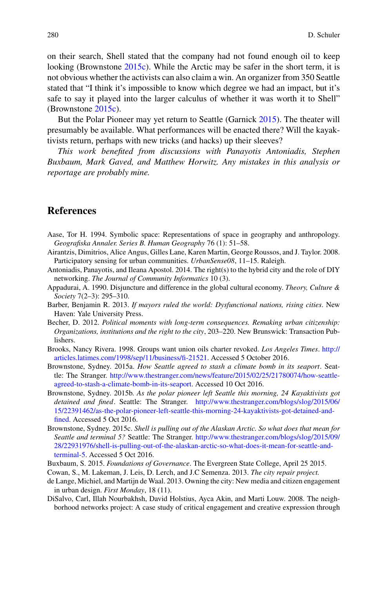on their search, Shell stated that the company had not found enough oil to keep looking (Brownstone [2015c\)](#page-19-13). While the Arctic may be safer in the short term, it is not obvious whether the activists can also claim a win. An organizer from 350 Seattle stated that "I think it's impossible to know which degree we had an impact, but it's safe to say it played into the larger calculus of whether it was worth it to Shell" (Brownstone [2015c\)](#page-19-13).

But the Polar Pioneer may yet return to Seattle (Garnick [2015\)](#page-20-23). The theater will presumably be available. What performances will be enacted there? Will the kayaktivists return, perhaps with new tricks (and hacks) up their sleeves?

*This work benefited from discussions with Panayotis Antoniadis, Stephen Buxbaum, Mark Gaved, and Matthew Horwitz. Any mistakes in this analysis or reportage are probably mine.*

# **References**

- <span id="page-19-2"></span>Aase, Tor H. 1994. Symbolic space: Representations of space in geography and anthropology. *Geografiska Annaler. Series B. Human Geography* 76 (1): 51–58.
- <span id="page-19-7"></span>Airantzis, Dimitrios, Alice Angus, Gilles Lane, Karen Martin, George Roussos, and J. Taylor. 2008. Participatory sensing for urban communities. *UrbanSense08*, 11–15. Raleigh.
- <span id="page-19-3"></span>Antoniadis, Panayotis, and Ileana Apostol. 2014. The right(s) to the hybrid city and the role of DIY networking. *The Journal of Community Informatics* 10 (3).
- <span id="page-19-4"></span>Appadurai, A. 1990. Disjuncture and difference in the global cultural economy. *Theory, Culture & Society* 7(2–3): 295–310.
- <span id="page-19-10"></span>Barber, Benjamin R. 2013. *If mayors ruled the world: Dysfunctional nations, rising cities*. New Haven: Yale University Press.
- <span id="page-19-1"></span>Becher, D. 2012. *Political moments with long-term consequences. Remaking urban citizenship: Organizations, institutions and the right to the city*, 203–220. New Brunswick: Transaction Publishers.
- <span id="page-19-6"></span>Brooks, Nancy Rivera. 1998. Groups want union oils charter revoked. *Los Angeles Times*. http:// [articles.latimes.com/1998/sep/11/business/fi-21521. Accessed 5 October 2016.](http://articles.latimes.com/1998/sep/11/business/fi-21521)
- <span id="page-19-11"></span>Brownstone, Sydney. 2015a. *How Seattle agreed to stash a climate bomb in its seaport*. Seattle: The Stranger. [http://www.thestranger.com/news/feature/2015/02/25/21780074/how-seattle](http://www.thestranger.com/news/feature/2015/02/25/21780074/how-seattle-agreed-to-stash-a-climate-bomb-in-its-seaport)agreed-to-stash-a-climate-bomb-in-its-seaport. Accessed 10 Oct 2016.
- <span id="page-19-12"></span>Brownstone, Sydney. 2015b. *As the polar pioneer left Seattle this morning, 24 Kayaktivists got detained and fined*. Seattle: The Stranger. http://www.thestranger.com/blogs/slog/2015/06/ [15/22391462/as-the-polar-pioneer-left-seattle-this-morning-24-kayaktivists-got-detained-and](http://www.thestranger.com/blogs/slog/2015/06/15/22391462/as-the-polar-pioneer-left-seattle-this-morning-24-kayaktivists-got-detained-and-fined)fined. Accessed 5 Oct 2016.
- <span id="page-19-13"></span>Brownstone, Sydney. 2015c. *Shell is pulling out of the Alaskan Arctic. So what does that mean for Seattle and terminal 5?* Seattle: The Stranger. http://www.thestranger.com/blogs/slog/2015/09/ [28/22931976/shell-is-pulling-out-of-the-alaskan-arctic-so-what-does-it-mean-for-seattle-and](http://www.thestranger.com/blogs/slog/2015/09/28/22931976/shell-is-pulling-out-of-the-alaskan-arctic-so-what-does-it-mean-for-seattle-and-terminal-5)terminal-5. Accessed 5 Oct 2016.
- <span id="page-19-5"></span>Buxbaum, S. 2015. *Foundations of Governance*. The Evergreen State College, April 25 2015.
- <span id="page-19-8"></span>Cowan, S., M. Lakeman, J. Leis, D. Lerch, and J.C Semenza. 2013. *The city repair project.*
- <span id="page-19-0"></span>de Lange, Michiel, and Martijn de Waal. 2013. Owning the city: New media and citizen engagement in urban design. *First Monday*, 18 (11).
- <span id="page-19-9"></span>DiSalvo, Carl, Illah Nourbakhsh, David Holstius, Ayca Akin, and Marti Louw. 2008. The neighborhood networks project: A case study of critical engagement and creative expression through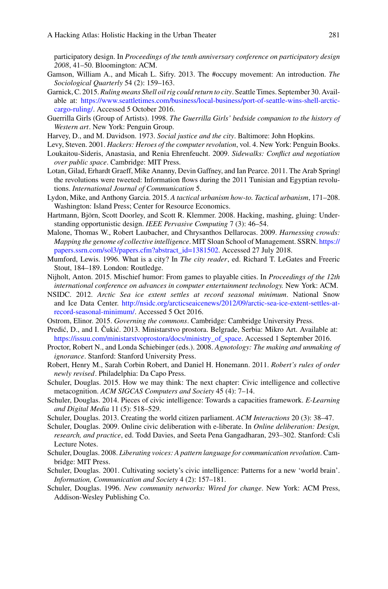participatory design. In *Proceedings of the tenth anniversary conference on participatory design 2008*, 41–50. Bloomington: ACM.

- <span id="page-20-11"></span>Gamson, William A., and Micah L. Sifry. 2013. The #occupy movement: An introduction. *The Sociological Quarterly* 54 (2): 159–163.
- <span id="page-20-23"></span>Garnick, C. 2015. *Ruling means Shell oil rig could return to city*. Seattle Times. September 30. Available at: [https://www.seattletimes.com/business/local-business/port-of-seattle-wins-shell-arctic](https://www.seattletimes.com/business/local-business/port-of-seattle-wins-shell-arctic-cargo-ruling/)cargo-ruling/. Accessed 5 October 2016.
- <span id="page-20-3"></span>Guerrilla Girls (Group of Artists). 1998. *The Guerrilla Girls' bedside companion to the history of Western art*. New York: Penguin Group.
- <span id="page-20-9"></span>Harvey, D., and M. Davidson. 1973. *Social justice and the city*. Baltimore: John Hopkins.
- <span id="page-20-1"></span>Levy, Steven. 2001. *Hackers: Heroes of the computer revolution*, vol. 4. New York: Penguin Books.
- <span id="page-20-20"></span>Loukaitou-Sideris, Anastasia, and Renia Ehrenfeucht. 2009. *Sidewalks: Conflict and negotiation over public space*. Cambridge: MIT Press.
- <span id="page-20-10"></span>Lotan, Gilad, Erhardt Graeff, Mike Ananny, Devin Gaffney, and Ian Pearce. 2011. The Arab Spring| the revolutions were tweeted: Information flows during the 2011 Tunisian and Egyptian revolutions. *International Journal of Communication* 5.
- <span id="page-20-19"></span>Lydon, Mike, and Anthony Garcia. 2015. *A tactical urbanism how-to. Tactical urbanism*, 171–208. Washington: Island Press; Center for Resource Economics.
- <span id="page-20-2"></span>Hartmann, Björn, Scott Doorley, and Scott R. Klemmer. 2008. Hacking, mashing, gluing: Understanding opportunistic design. *IEEE Pervasive Computing* 7 (3): 46–54.
- <span id="page-20-6"></span>Malone, Thomas W., Robert Laubacher, and Chrysanthos Dellarocas. 2009. *Harnessing crowds: Mapping the genome of collective intelligence*. MIT Sloan School of Management. SSRN. https:// [papers.ssrn.com/sol3/papers.cfm?abstract\\_id=1381502. Accessed 27 July 2018.](https://papers.ssrn.com/sol3/papers.cfm%3fabstract_id%3d1381502)
- <span id="page-20-0"></span>Mumford, Lewis. 1996. What is a city? In *The city reader*, ed. Richard T. LeGates and Freeric Stout, 184–189. London: Routledge.
- <span id="page-20-21"></span>Nijholt, Anton. 2015. Mischief humor: From games to playable cities. In *Proceedings of the 12th international conference on advances in computer entertainment technology.* New York: ACM.
- <span id="page-20-22"></span>NSIDC. 2012. *Arctic Sea ice extent settles at record seasonal minimum*. National Snow and Ice Data Center. [http://nsidc.org/arcticseaicenews/2012/09/arctic-sea-ice-extent-settles-at](http://nsidc.org/arcticseaicenews/2012/09/arctic-sea-ice-extent-settles-at-record-seasonal-minimum/)record-seasonal-minimum/. Accessed 5 Oct 2016.
- <span id="page-20-14"></span>Ostrom, Elinor. 2015. *Governing the commons*. Cambridge: Cambridge University Press.
- <span id="page-20-18"></span>Predić, D., and I. Čukić. 2013. Ministarstvo prostora. Belgrade, Serbia: Mikro Art. Available at: [https://issuu.com/ministarstvoprostora/docs/ministry\\_of\\_space.](https://issuu.com/ministarstvoprostora/docs/ministry_of_space) Accessed 1 September 2016.
- <span id="page-20-8"></span>Proctor, Robert N., and Londa Schiebinger (eds.). 2008. *Agnotology: The making and unmaking of ignorance*. Stanford: Stanford University Press.
- <span id="page-20-15"></span>Robert, Henry M., Sarah Corbin Robert, and Daniel H. Honemann. 2011. *Robert's rules of order newly revised*. Philadelphia: Da Capo Press.
- <span id="page-20-4"></span>Schuler, Douglas. 2015. How we may think: The next chapter: Civic intelligence and collective metacognition. *ACM SIGCAS Computers and Society* 45 (4): 7–14.
- <span id="page-20-7"></span>Schuler, Douglas. 2014. Pieces of civic intelligence: Towards a capacities framework. *E-Learning and Digital Media* 11 (5): 518–529.
- <span id="page-20-17"></span>Schuler, Douglas. 2013. Creating the world citizen parliament. *ACM Interactions* 20 (3): 38–47.
- <span id="page-20-16"></span>Schuler, Douglas. 2009. Online civic deliberation with e-liberate. In *Online deliberation: Design, research, and practice*, ed. Todd Davies, and Seeta Pena Gangadharan, 293–302. Stanford: Csli Lecture Notes.
- <span id="page-20-12"></span>Schuler, Douglas. 2008. *Liberating voices: A pattern language for communication revolution*. Cambridge: MIT Press.
- <span id="page-20-5"></span>Schuler, Douglas. 2001. Cultivating society's civic intelligence: Patterns for a new 'world brain'. *Information, Communication and Society* 4 (2): 157–181.
- <span id="page-20-13"></span>Schuler, Douglas. 1996. *New community networks: Wired for change*. New York: ACM Press, Addison-Wesley Publishing Co.